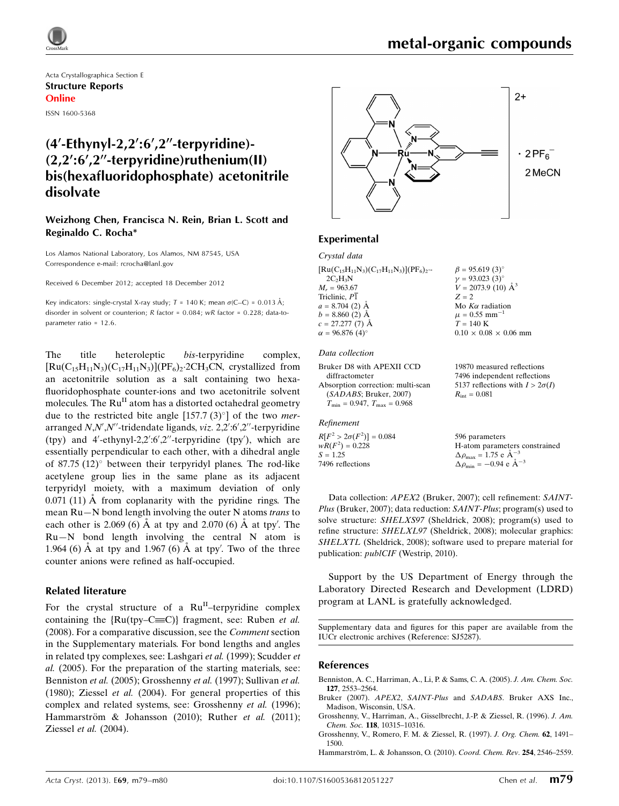Acta Crystallographica Section E Structure Reports Online

ISSN 1600-5368

## $(4'-Ethynyl-2,2':6',2''-terpyridine)$ - $(2.2^{\prime}; 6^{\prime}\cdot2^{\prime\prime}$ -terpyridine)ruthenium(II) bis(hexafluoridophosphate) acetonitrile disolvate

## Weizhong Chen, Francisca N. Rein, Brian L. Scott and Reginaldo C. Rocha\*

Los Alamos National Laboratory, Los Alamos, NM 87545, USA Correspondence e-mail: [rcrocha@lanl.gov](https://scripts.iucr.org/cgi-bin/cr.cgi?rm=pdfbb&cnor=sj5287&bbid=BB13)

Received 6 December 2012; accepted 18 December 2012

Key indicators: single-crystal X-ray study;  $T = 140$  K; mean  $\sigma$ (C–C) = 0.013 Å; disorder in solvent or counterion; R factor = 0.084; wR factor = 0.228; data-toparameter ratio = 12.6.

The title heteroleptic bis-terpyridine complex,  $[\text{Ru}(C_{15}H_{11}N_3)(C_{17}H_{11}N_3)](\text{PF}_6)_2$ -2CH<sub>3</sub>CN, crystallized from an acetonitrile solution as a salt containing two hexafluoridophosphate counter-ions and two acetonitrile solvent molecules. The  $Ru<sup>H</sup>$  atom has a distorted octahedral geometry due to the restricted bite angle [157.7 (3) $^{\circ}$ ] of the two *mer*arranged N,N',N''-tridendate ligands, viz. 2,2':6',2"-terpyridine (tpy) and 4'-ethynyl-2,2':6',2"-terpyridine (tpy'), which are essentially perpendicular to each other, with a dihedral angle of 87.75  $(12)^\circ$  between their terpyridyl planes. The rod-like acetylene group lies in the same plane as its adjacent terpyridyl moiety, with a maximum deviation of only  $0.071$  (11)  $\AA$  from coplanarity with the pyridine rings. The mean Ru—N bond length involving the outer N atoms trans to each other is 2.069 (6)  $\AA$  at tpy and 2.070 (6)  $\AA$  at tpy'. The Ru—N bond length involving the central N atom is 1.964 (6)  $\AA$  at tpy and 1.967 (6)  $\AA$  at tpy'. Two of the three counter anions were refined as half-occupied.

### Related literature

For the crystal structure of a  $Ru<sup>II</sup>$ -terpyridine complex containing the  ${Ru(tpy-C=CC)}$  fragment, see: Ruben *et al.* (2008). For a comparative discussion, see the Comment section in the Supplementary materials. For bond lengths and angles in related tpy complexes, see: Lashgari et al. (1999); Scudder et al. (2005). For the preparation of the starting materials, see: Benniston et al. (2005); Grosshenny et al. (1997); Sullivan et al. (1980); Ziessel et al. (2004). For general properties of this complex and related systems, see: Grosshenny et al. (1996); Hammarström & Johansson (2010); Ruther et al. (2011); Ziessel et al. (2004).



## Experimental

| Crystal data                                       |                                |
|----------------------------------------------------|--------------------------------|
| $[Ru(C_{15}H_{11}N_3)(C_{17}H_{11}N_3)](PF_6)_{2}$ | $\beta = 95.619(3)$ °          |
| $2C_2H_3N$                                         | $\gamma = 93.023(3)$ °         |
| $M_r = 963.67$                                     | $V = 2073.9$ (10) $\AA^3$      |
| Triclinic, $P\overline{1}$                         | $Z = 2$                        |
| $a = 8.704$ (2) $\AA$                              | Mo $K\alpha$ radiation         |
| $b = 8.860(2)$ Å                                   | $\mu = 0.55$ mm <sup>-1</sup>  |
| $c = 27.277(7)$ Å                                  | $T = 140 \text{ K}$            |
| $\alpha = 96.876(4)$ °                             | $0.10 \times 0.08 \times 0.06$ |
|                                                    |                                |
| $\mathbf{r}$ $\mathbf{r}$                          |                                |

## Data collection

Bruker D8 with APEXII CCD diffractometer Absorption correction: multi-scan (SADABS; Bruker, 2007)  $T_{\min} = 0.947, T_{\max} = 0.968$ 

#### Refinement

 $R[F^2 > 2\sigma(F^2)] = 0.084$  $wR(F^2) = 0.228$  $S = 1.25$ 7496 reflections

 $K\alpha$  radiation  $0.55$  mm<sup>-1</sup>  $140 K$  $\times$  0.08  $\times$  0.06 mm

19870 measured reflections 7496 independent reflections 5137 reflections with  $I > 2\sigma(I)$  $R_{\rm int} = 0.081$ 

596 parameters H-atom parameters constrained  $\Delta \rho_{\text{max}} = 1.75 \text{ e A}^{-3}$  $\Delta \rho_{\text{min}} = -0.94 \text{ e A}^{-3}$ 

Data collection: APEX2 (Bruker, 2007); cell refinement: SAINT-Plus (Bruker, 2007); data reduction: SAINT-Plus; program(s) used to solve structure: SHELXS97 (Sheldrick, 2008); program(s) used to refine structure: SHELXL97 (Sheldrick, 2008); molecular graphics: SHELXTL (Sheldrick, 2008); software used to prepare material for publication: *publCIF* (Westrip, 2010).

Support by the US Department of Energy through the Laboratory Directed Research and Development (LDRD) program at LANL is gratefully acknowledged.

Supplementary data and figures for this paper are available from the IUCr electronic archives (Reference: SJ5287).

#### References

- [Benniston, A. C., Harriman, A., Li, P. & Sams, C. A. \(2005\).](https://scripts.iucr.org/cgi-bin/cr.cgi?rm=pdfbb&cnor=sj5287&bbid=BB1) J. Am. Chem. Soc. 127[, 2553–2564.](https://scripts.iucr.org/cgi-bin/cr.cgi?rm=pdfbb&cnor=sj5287&bbid=BB1)
- Bruker (2007). APEX2, SAINT-Plus and SADABS[. Bruker AXS Inc.,](https://scripts.iucr.org/cgi-bin/cr.cgi?rm=pdfbb&cnor=sj5287&bbid=BB2) [Madison, Wisconsin, USA.](https://scripts.iucr.org/cgi-bin/cr.cgi?rm=pdfbb&cnor=sj5287&bbid=BB2)
- [Grosshenny, V., Harriman, A., Gisselbrecht, J.-P. & Ziessel, R. \(1996\).](https://scripts.iucr.org/cgi-bin/cr.cgi?rm=pdfbb&cnor=sj5287&bbid=BB3) J. Am. Chem. Soc. 118[, 10315–10316.](https://scripts.iucr.org/cgi-bin/cr.cgi?rm=pdfbb&cnor=sj5287&bbid=BB3)
- [Grosshenny, V., Romero, F. M. & Ziessel, R. \(1997\).](https://scripts.iucr.org/cgi-bin/cr.cgi?rm=pdfbb&cnor=sj5287&bbid=BB4) J. Org. Chem. 62, 1491– [1500.](https://scripts.iucr.org/cgi-bin/cr.cgi?rm=pdfbb&cnor=sj5287&bbid=BB4)
- Hammarström, L. & Johansson, O. (2010). Coord. Chem. Rev. 254, 2546-2559.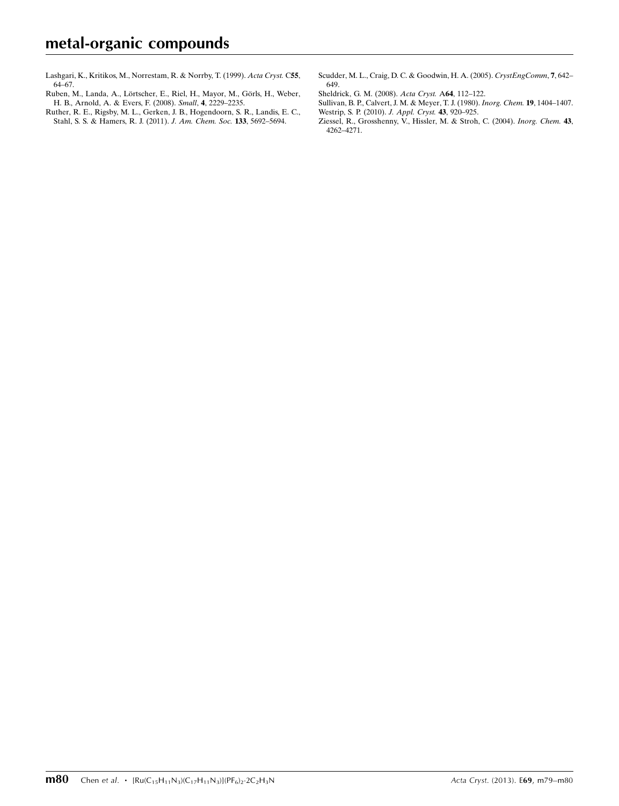[Lashgari, K., Kritikos, M., Norrestam, R. & Norrby, T. \(1999\).](https://scripts.iucr.org/cgi-bin/cr.cgi?rm=pdfbb&cnor=sj5287&bbid=BB6) Acta Cryst. C55, [64–67.](https://scripts.iucr.org/cgi-bin/cr.cgi?rm=pdfbb&cnor=sj5287&bbid=BB6)

- Ruben, M., Landa, A., Lörtscher, E., Riel, H., Mayor, M., Görls, H., Weber, [H. B., Arnold, A. & Evers, F. \(2008\).](https://scripts.iucr.org/cgi-bin/cr.cgi?rm=pdfbb&cnor=sj5287&bbid=BB7) Small, 4, 2229–2235.
- [Ruther, R. E., Rigsby, M. L., Gerken, J. B., Hogendoorn, S. R., Landis, E. C.,](https://scripts.iucr.org/cgi-bin/cr.cgi?rm=pdfbb&cnor=sj5287&bbid=BB8) [Stahl, S. S. & Hamers, R. J. \(2011\).](https://scripts.iucr.org/cgi-bin/cr.cgi?rm=pdfbb&cnor=sj5287&bbid=BB8) J. Am. Chem. Soc. 133, 5692–5694.
- [Scudder, M. L., Craig, D. C. & Goodwin, H. A. \(2005\).](https://scripts.iucr.org/cgi-bin/cr.cgi?rm=pdfbb&cnor=sj5287&bbid=BB9) CrystEngComm, 7, 642– [649.](https://scripts.iucr.org/cgi-bin/cr.cgi?rm=pdfbb&cnor=sj5287&bbid=BB9)
- [Sheldrick, G. M. \(2008\).](https://scripts.iucr.org/cgi-bin/cr.cgi?rm=pdfbb&cnor=sj5287&bbid=BB10) Acta Cryst. A64, 112–122.
- [Sullivan, B. P., Calvert, J. M. & Meyer, T. J. \(1980\).](https://scripts.iucr.org/cgi-bin/cr.cgi?rm=pdfbb&cnor=sj5287&bbid=BB11) Inorg. Chem. 19, 1404–1407. [Westrip, S. P. \(2010\).](https://scripts.iucr.org/cgi-bin/cr.cgi?rm=pdfbb&cnor=sj5287&bbid=BB12) J. Appl. Cryst. 43, 920–925.
- [Ziessel, R., Grosshenny, V., Hissler, M. & Stroh, C. \(2004\).](https://scripts.iucr.org/cgi-bin/cr.cgi?rm=pdfbb&cnor=sj5287&bbid=BB13) Inorg. Chem. 43, [4262–4271.](https://scripts.iucr.org/cgi-bin/cr.cgi?rm=pdfbb&cnor=sj5287&bbid=BB13)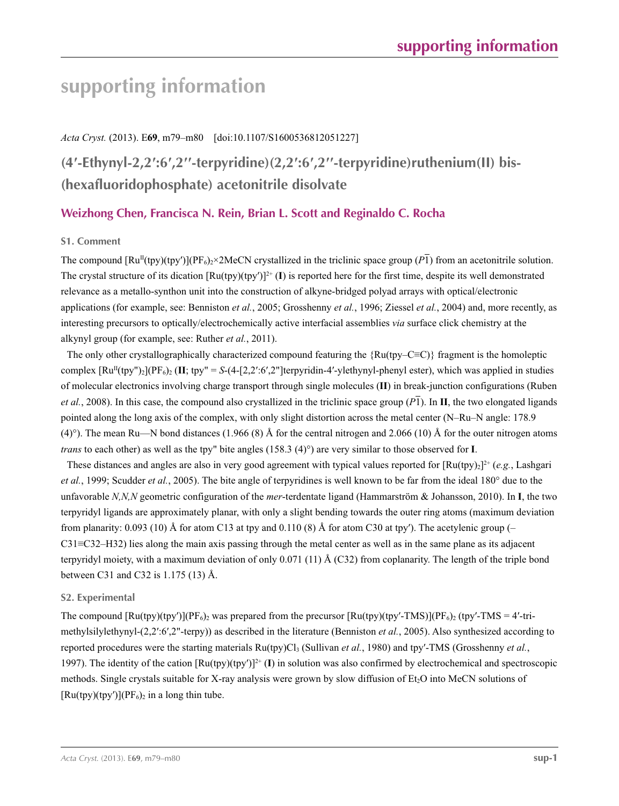## *Acta Cryst.* (2013). E**69**, m79–m80 [doi:10.1107/S1600536812051227]

## **(4′-Ethynyl-2,2′:6′,2′′-terpyridine)(2,2′:6′,2′′-terpyridine)ruthenium(II) bis- (hexafluoridophosphate) acetonitrile disolvate**

## **Weizhong Chen, Francisca N. Rein, Brian L. Scott and Reginaldo C. Rocha**

## **S1. Comment**

The compound  $\text{[Ru}^{\text{II}}(\text{toy})(\text{tpy}')[(\text{PF}_6) > 2\text{MeCN} \text{ crystalized in the triclinic space group } (P\vec{I})$  from an acetonitrile solution. The crystal structure of its dication  $[Ru(tpy)(tpy')]^{2+} (I)$  is reported here for the first time, despite its well demonstrated relevance as a metallo-synthon unit into the construction of alkyne-bridged polyad arrays with optical/electronic applications (for example, see: Benniston *et al.*, 2005; Grosshenny *et al.*, 1996; Ziessel *et al.*, 2004) and, more recently, as interesting precursors to optically/electrochemically active interfacial assemblies *via* surface click chemistry at the alkynyl group (for example, see: Ruther *et al.*, 2011).

The only other crystallographically characterized compound featuring the  ${Ru(tpy–C\equiv C)}$  fragment is the homoleptic complex  $\lceil \text{Ru}^{\text{II}}(\text{typ''})_2 \rceil$  ( $\text{IF}_6$ )<sub>2</sub> ( $\text{II};$  tpy" = *S*-(4-[2,2':6',2"]terpyridin-4'-ylethynyl-phenyl ester), which was applied in studies of molecular electronics involving charge transport through single molecules (**II**) in break-junction configurations (Ruben *et al.*, 2008). In this case, the compound also crystallized in the triclinic space group  $(P_1)$ . In **II**, the two elongated ligands pointed along the long axis of the complex, with only slight distortion across the metal center (N–Ru–N angle: 178.9 (4)°). The mean Ru—N bond distances (1.966 (8) Å for the central nitrogen and 2.066 (10) Å for the outer nitrogen atoms *trans* to each other) as well as the tpy" bite angles (158.3 (4)°) are very similar to those observed for **I**.

These distances and angles are also in very good agreement with typical values reported for  $\left[\text{Ru}(\text{tpy})_2\right]^{2+}$  (*e.g.*, Lashgari *et al.*, 1999; Scudder *et al.*, 2005). The bite angle of terpyridines is well known to be far from the ideal 180° due to the unfavorable *N,N,N* geometric configuration of the *mer*-terdentate ligand (Hammarström & Johansson, 2010). In **I**, the two terpyridyl ligands are approximately planar, with only a slight bending towards the outer ring atoms (maximum deviation from planarity:  $0.093$  (10) Å for atom C13 at tpy and  $0.110$  (8) Å for atom C30 at tpy'). The acetylenic group (– C31≡C32–H32) lies along the main axis passing through the metal center as well as in the same plane as its adjacent terpyridyl moiety, with a maximum deviation of only 0.071 (11) Å (C32) from coplanarity. The length of the triple bond between C31 and C32 is 1.175 (13) Å.

### **S2. Experimental**

The compound  $[Ru(tpy)(tpy')] (PF_6)_2$  was prepared from the precursor  $[Ru(tpy)(tpy'-TMS)] (PF_6)_2$  (tpy'-TMS = 4'-trimethylsilylethynyl-(2,2′:6′,2"-terpy)) as described in the literature (Benniston *et al.*, 2005). Also synthesized according to reported procedures were the starting materials  $Ru(tpy)Cl_3$  (Sullivan *et al.*, 1980) and tpy'-TMS (Grosshenny *et al.*, 1997). The identity of the cation  $\left[\text{Ru(tpy)}(tpy')\right]^2$ <sup>+</sup> (I) in solution was also confirmed by electrochemical and spectroscopic methods. Single crystals suitable for X-ray analysis were grown by slow diffusion of  $Et_2O$  into MeCN solutions of  $[Ru(tpy)(tpy')](PF_6)_2$  in a long thin tube.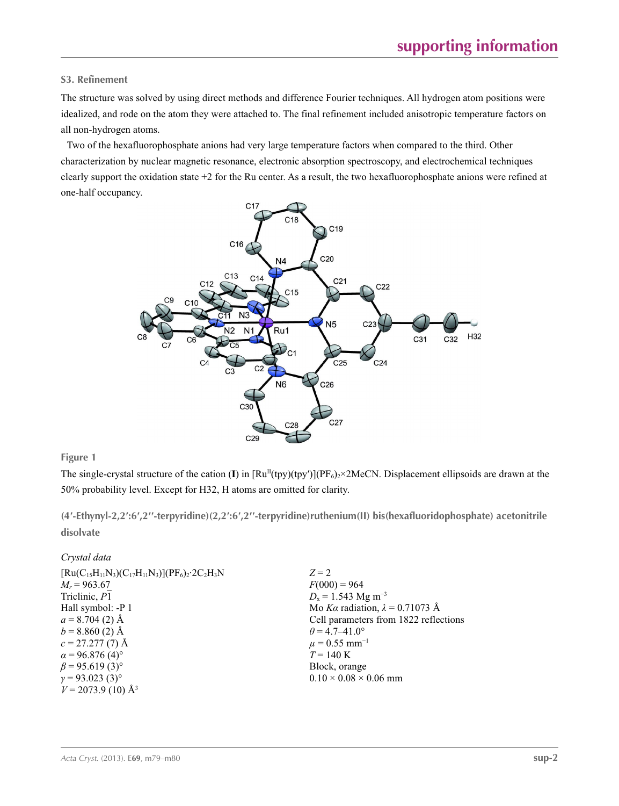## **S3. Refinement**

The structure was solved by using direct methods and difference Fourier techniques. All hydrogen atom positions were idealized, and rode on the atom they were attached to. The final refinement included anisotropic temperature factors on all non-hydrogen atoms.

Two of the hexafluorophosphate anions had very large temperature factors when compared to the third. Other characterization by nuclear magnetic resonance, electronic absorption spectroscopy, and electrochemical techniques clearly support the oxidation state +2 for the Ru center. As a result, the two hexafluorophosphate anions were refined at one-half occupancy.



**Figure 1**

The single-crystal structure of the cation (I) in  $[Ru^{II}(typ)(typ')] (PF_6)_2 \times 2MeCN$ . Displacement ellipsoids are drawn at the 50% probability level. Except for H32, H atoms are omitted for clarity.

**(4′-Ethynyl-2,2′:6′,2′′-terpyridine)(2,2′:6′,2′′-terpyridine)ruthenium(II) bis(hexafluoridophosphate) acetonitrile disolvate** 

### *Crystal data*

| $[Ru(C_{15}H_{11}N_3)(C_{17}H_{11}N_3)](PF_6)_2.2C_2H_3N$ | $Z = 2$                                |
|-----------------------------------------------------------|----------------------------------------|
| $M_r = 963.67$                                            | $F(000) = 964$                         |
| Triclinic, P1                                             | $D_x = 1.543$ Mg m <sup>-3</sup>       |
| Hall symbol: -P 1                                         | Mo Ka radiation, $\lambda = 0.71073$ Å |
| $a = 8.704(2)$ Å                                          | Cell parameters from 1822 reflections  |
| $b = 8.860(2)$ Å                                          | $\theta$ = 4.7–41.0°                   |
| $c = 27.277(7)$ Å                                         | $\mu = 0.55$ mm <sup>-1</sup>          |
| $\alpha$ = 96.876 (4) <sup>o</sup>                        | $T = 140 \text{ K}$                    |
| $\beta$ = 95.619 (3) <sup>o</sup>                         | Block, orange                          |
| $\gamma = 93.023$ (3) <sup>o</sup>                        | $0.10 \times 0.08 \times 0.06$ mm      |
| $V = 2073.9$ (10) Å <sup>3</sup>                          |                                        |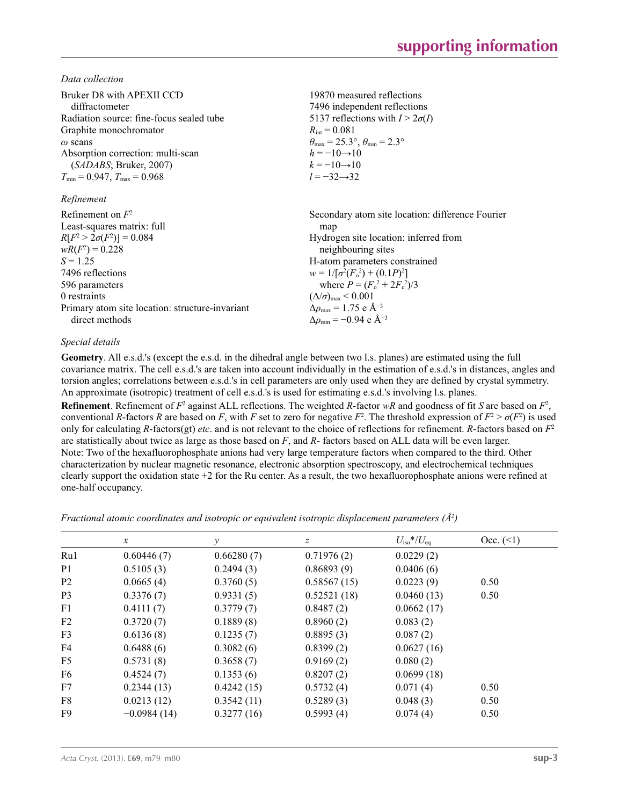*Data collection*

| Bruker D8 with APEXII CCD                       | 19870 measured reflections                                              |
|-------------------------------------------------|-------------------------------------------------------------------------|
| diffractometer                                  | 7496 independent reflections                                            |
| Radiation source: fine-focus sealed tube        | 5137 reflections with $I > 2\sigma(I)$                                  |
| Graphite monochromator                          | $R_{\rm int} = 0.081$                                                   |
| $\omega$ scans                                  | $\theta_{\text{max}} = 25.3^{\circ}, \theta_{\text{min}} = 2.3^{\circ}$ |
| Absorption correction: multi-scan               | $h = -10 \rightarrow 10$                                                |
| (SADABS; Bruker, 2007)                          | $k = -10 \rightarrow 10$                                                |
| $T_{\min}$ = 0.947, $T_{\max}$ = 0.968          | $l = -32 \rightarrow 32$                                                |
| Refinement                                      |                                                                         |
| Refinement on $F^2$                             | Secondary atom site location: difference Fourier                        |
| Least-squares matrix: full                      | map                                                                     |
| $R[F^2 > 2\sigma(F^2)] = 0.084$                 | Hydrogen site location: inferred from                                   |
| $wR(F^2) = 0.228$                               | neighbouring sites                                                      |
| $S = 1.25$                                      | H-atom parameters constrained                                           |
| 7496 reflections                                | $w = 1/[\sigma^2(F_0^2) + (0.1P)^2]$                                    |
| 596 parameters                                  | where $P = (F_0^2 + 2F_c^2)/3$                                          |
| 0 restraints                                    | $(\Delta/\sigma)_{\text{max}}$ < 0.001                                  |
| Primary atom site location: structure-invariant | $\Delta \rho_{\text{max}} = 1.75 \text{ e A}^{-3}$                      |
| direct methods                                  | $\Delta\rho_{\rm min}$ = -0.94 e Å <sup>-3</sup>                        |

### *Special details*

**Geometry**. All e.s.d.'s (except the e.s.d. in the dihedral angle between two l.s. planes) are estimated using the full covariance matrix. The cell e.s.d.'s are taken into account individually in the estimation of e.s.d.'s in distances, angles and torsion angles; correlations between e.s.d.'s in cell parameters are only used when they are defined by crystal symmetry. An approximate (isotropic) treatment of cell e.s.d.'s is used for estimating e.s.d.'s involving l.s. planes. **Refinement**. Refinement of  $F^2$  against ALL reflections. The weighted *R*-factor  $wR$  and goodness of fit *S* are based on  $F^2$ , conventional *R*-factors *R* are based on *F*, with *F* set to zero for negative  $F^2$ . The threshold expression of  $F^2 > \sigma(F^2)$  is used only for calculating *R*-factors(gt) *etc*. and is not relevant to the choice of reflections for refinement. *R*-factors based on *F*<sup>2</sup> are statistically about twice as large as those based on *F*, and *R*- factors based on ALL data will be even larger.

Note: Two of the hexafluorophosphate anions had very large temperature factors when compared to the third. Other characterization by nuclear magnetic resonance, electronic absorption spectroscopy, and electrochemical techniques clearly support the oxidation state +2 for the Ru center. As a result, the two hexafluorophosphate anions were refined at one-half occupancy.

*Fractional atomic coordinates and isotropic or equivalent isotropic displacement parameters (Å<sup>2</sup>)* 

|                | $\mathcal{X}$ | v          | $\overline{z}$ | $U_{\rm iso}*/U_{\rm eq}$ | Occ. (2) |
|----------------|---------------|------------|----------------|---------------------------|----------|
| Ru1            | 0.60446(7)    | 0.66280(7) | 0.71976(2)     | 0.0229(2)                 |          |
| P <sub>1</sub> | 0.5105(3)     | 0.2494(3)  | 0.86893(9)     | 0.0406(6)                 |          |
| P <sub>2</sub> | 0.0665(4)     | 0.3760(5)  | 0.58567(15)    | 0.0223(9)                 | 0.50     |
| P <sub>3</sub> | 0.3376(7)     | 0.9331(5)  | 0.52521(18)    | 0.0460(13)                | 0.50     |
| F <sub>1</sub> | 0.4111(7)     | 0.3779(7)  | 0.8487(2)      | 0.0662(17)                |          |
| F2             | 0.3720(7)     | 0.1889(8)  | 0.8960(2)      | 0.083(2)                  |          |
| F <sub>3</sub> | 0.6136(8)     | 0.1235(7)  | 0.8895(3)      | 0.087(2)                  |          |
| F <sub>4</sub> | 0.6488(6)     | 0.3082(6)  | 0.8399(2)      | 0.0627(16)                |          |
| F <sub>5</sub> | 0.5731(8)     | 0.3658(7)  | 0.9169(2)      | 0.080(2)                  |          |
| F <sub>6</sub> | 0.4524(7)     | 0.1353(6)  | 0.8207(2)      | 0.0699(18)                |          |
| F7             | 0.2344(13)    | 0.4242(15) | 0.5732(4)      | 0.071(4)                  | 0.50     |
| F8             | 0.0213(12)    | 0.3542(11) | 0.5289(3)      | 0.048(3)                  | 0.50     |
| F9             | $-0.0984(14)$ | 0.3277(16) | 0.5993(4)      | 0.074(4)                  | 0.50     |
|                |               |            |                |                           |          |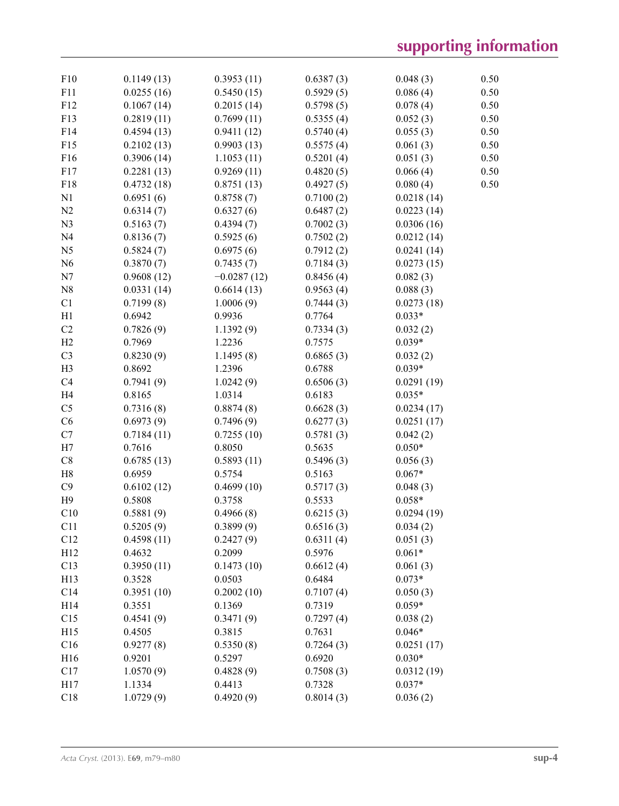| F10             | 0.1149(13) | 0.3953(11)    | 0.6387(3) | 0.048(3)   | 0.50 |
|-----------------|------------|---------------|-----------|------------|------|
| F11             | 0.0255(16) | 0.5450(15)    | 0.5929(5) | 0.086(4)   | 0.50 |
| F12             | 0.1067(14) | 0.2015(14)    | 0.5798(5) | 0.078(4)   | 0.50 |
| F13             | 0.2819(11) | 0.7699(11)    | 0.5355(4) | 0.052(3)   | 0.50 |
| F14             | 0.4594(13) | 0.9411(12)    | 0.5740(4) | 0.055(3)   | 0.50 |
| F15             | 0.2102(13) | 0.9903(13)    | 0.5575(4) | 0.061(3)   | 0.50 |
| F16             | 0.3906(14) | 1.1053(11)    | 0.5201(4) | 0.051(3)   | 0.50 |
| F17             | 0.2281(13) | 0.9269(11)    | 0.4820(5) | 0.066(4)   | 0.50 |
| F18             | 0.4732(18) | 0.8751(13)    | 0.4927(5) | 0.080(4)   | 0.50 |
| N1              | 0.6951(6)  | 0.8758(7)     | 0.7100(2) | 0.0218(14) |      |
| N <sub>2</sub>  | 0.6314(7)  | 0.6327(6)     | 0.6487(2) | 0.0223(14) |      |
| N <sub>3</sub>  | 0.5163(7)  | 0.4394(7)     | 0.7002(3) | 0.0306(16) |      |
| N <sub>4</sub>  | 0.8136(7)  | 0.5925(6)     | 0.7502(2) | 0.0212(14) |      |
| N <sub>5</sub>  | 0.5824(7)  | 0.6975(6)     | 0.7912(2) | 0.0241(14) |      |
| N <sub>6</sub>  | 0.3870(7)  | 0.7435(7)     | 0.7184(3) | 0.0273(15) |      |
| N7              | 0.9608(12) | $-0.0287(12)$ | 0.8456(4) | 0.082(3)   |      |
| N8              | 0.0331(14) | 0.6614(13)    | 0.9563(4) | 0.088(3)   |      |
| C1              | 0.7199(8)  | 1.0006(9)     | 0.7444(3) | 0.0273(18) |      |
| H1              | 0.6942     | 0.9936        | 0.7764    | $0.033*$   |      |
| C <sub>2</sub>  | 0.7826(9)  | 1.1392(9)     | 0.7334(3) | 0.032(2)   |      |
| H2              | 0.7969     | 1.2236        | 0.7575    | $0.039*$   |      |
| C <sub>3</sub>  | 0.8230(9)  | 1.1495(8)     | 0.6865(3) | 0.032(2)   |      |
| H <sub>3</sub>  | 0.8692     | 1.2396        | 0.6788    | $0.039*$   |      |
| C <sub>4</sub>  | 0.7941(9)  | 1.0242(9)     | 0.6506(3) | 0.0291(19) |      |
| H <sub>4</sub>  | 0.8165     | 1.0314        | 0.6183    | $0.035*$   |      |
| C <sub>5</sub>  | 0.7316(8)  | 0.8874(8)     | 0.6628(3) | 0.0234(17) |      |
| C6              | 0.6973(9)  | 0.7496(9)     | 0.6277(3) | 0.0251(17) |      |
| C7              | 0.7184(11) | 0.7255(10)    | 0.5781(3) | 0.042(2)   |      |
| H7              | 0.7616     | 0.8050        | 0.5635    | $0.050*$   |      |
| C8              | 0.6785(13) | 0.5893(11)    | 0.5496(3) | 0.056(3)   |      |
| H8              | 0.6959     | 0.5754        | 0.5163    | $0.067*$   |      |
| C9              | 0.6102(12) | 0.4699(10)    | 0.5717(3) | 0.048(3)   |      |
| H9              | 0.5808     | 0.3758        | 0.5533    | $0.058*$   |      |
| C10             | 0.5881(9)  | 0.4966(8)     | 0.6215(3) | 0.0294(19) |      |
| C <sub>11</sub> | 0.5205(9)  | 0.3899(9)     | 0.6516(3) | 0.034(2)   |      |
| C12             | 0.4598(11) | 0.2427(9)     | 0.6311(4) | 0.051(3)   |      |
| H12             | 0.4632     | 0.2099        | 0.5976    | $0.061*$   |      |
| C13             | 0.3950(11) | 0.1473(10)    | 0.6612(4) | 0.061(3)   |      |
| H13             | 0.3528     | 0.0503        | 0.6484    | $0.073*$   |      |
| C14             | 0.3951(10) | 0.2002(10)    | 0.7107(4) | 0.050(3)   |      |
| H14             | 0.3551     | 0.1369        | 0.7319    | $0.059*$   |      |
| C15             | 0.4541(9)  | 0.3471(9)     | 0.7297(4) | 0.038(2)   |      |
| H15             | 0.4505     | 0.3815        | 0.7631    | $0.046*$   |      |
| C16             | 0.9277(8)  | 0.5350(8)     | 0.7264(3) | 0.0251(17) |      |
| H16             | 0.9201     | 0.5297        | 0.6920    | $0.030*$   |      |
| C17             | 1.0570(9)  | 0.4828(9)     | 0.7508(3) | 0.0312(19) |      |
| H17             | 1.1334     | 0.4413        | 0.7328    | $0.037*$   |      |
| C18             | 1.0729(9)  | 0.4920(9)     | 0.8014(3) | 0.036(2)   |      |
|                 |            |               |           |            |      |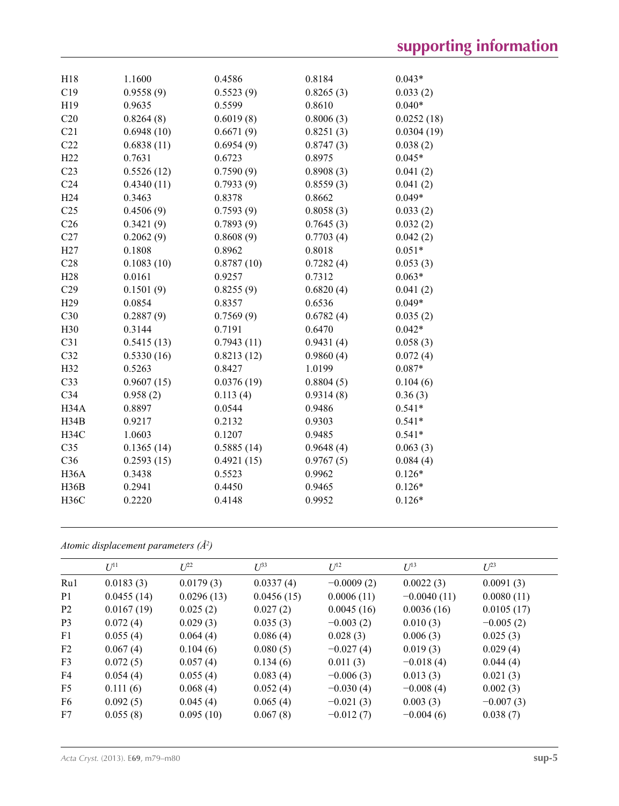| H18               | 1.1600     | 0.4586     | 0.8184    | $0.043*$   |
|-------------------|------------|------------|-----------|------------|
| C19               | 0.9558(9)  | 0.5523(9)  | 0.8265(3) | 0.033(2)   |
| H19               | 0.9635     | 0.5599     | 0.8610    | $0.040*$   |
| C20               | 0.8264(8)  | 0.6019(8)  | 0.8006(3) | 0.0252(18) |
| C21               | 0.6948(10) | 0.6671(9)  | 0.8251(3) | 0.0304(19) |
| C22               | 0.6838(11) | 0.6954(9)  | 0.8747(3) | 0.038(2)   |
| H <sub>22</sub>   | 0.7631     | 0.6723     | 0.8975    | $0.045*$   |
| C <sub>23</sub>   | 0.5526(12) | 0.7590(9)  | 0.8908(3) | 0.041(2)   |
| C <sub>24</sub>   | 0.4340(11) | 0.7933(9)  | 0.8559(3) | 0.041(2)   |
| H <sub>24</sub>   | 0.3463     | 0.8378     | 0.8662    | $0.049*$   |
| C <sub>25</sub>   | 0.4506(9)  | 0.7593(9)  | 0.8058(3) | 0.033(2)   |
| C <sub>26</sub>   | 0.3421(9)  | 0.7893(9)  | 0.7645(3) | 0.032(2)   |
| C27               | 0.2062(9)  | 0.8608(9)  | 0.7703(4) | 0.042(2)   |
| H27               | 0.1808     | 0.8962     | 0.8018    | $0.051*$   |
| C28               | 0.1083(10) | 0.8787(10) | 0.7282(4) | 0.053(3)   |
| H <sub>28</sub>   | 0.0161     | 0.9257     | 0.7312    | $0.063*$   |
| C29               | 0.1501(9)  | 0.8255(9)  | 0.6820(4) | 0.041(2)   |
| H <sub>29</sub>   | 0.0854     | 0.8357     | 0.6536    | $0.049*$   |
| C30               | 0.2887(9)  | 0.7569(9)  | 0.6782(4) | 0.035(2)   |
| H30               | 0.3144     | 0.7191     | 0.6470    | $0.042*$   |
| C31               | 0.5415(13) | 0.7943(11) | 0.9431(4) | 0.058(3)   |
| C32               | 0.5330(16) | 0.8213(12) | 0.9860(4) | 0.072(4)   |
| H32               | 0.5263     | 0.8427     | 1.0199    | $0.087*$   |
| C <sub>33</sub>   | 0.9607(15) | 0.0376(19) | 0.8804(5) | 0.104(6)   |
| C <sub>34</sub>   | 0.958(2)   | 0.113(4)   | 0.9314(8) | 0.36(3)    |
| H34A              | 0.8897     | 0.0544     | 0.9486    | $0.541*$   |
| H34B              | 0.9217     | 0.2132     | 0.9303    | $0.541*$   |
| <b>H34C</b>       | 1.0603     | 0.1207     | 0.9485    | $0.541*$   |
| C <sub>35</sub>   | 0.1365(14) | 0.5885(14) | 0.9648(4) | 0.063(3)   |
| C36               | 0.2593(15) | 0.4921(15) | 0.9767(5) | 0.084(4)   |
| H <sub>36</sub> A | 0.3438     | 0.5523     | 0.9962    | $0.126*$   |
| H36B              | 0.2941     | 0.4450     | 0.9465    | $0.126*$   |
| <b>H36C</b>       | 0.2220     | 0.4148     | 0.9952    | $0.126*$   |
|                   |            |            |           |            |

*Atomic displacement parameters (Å2 )*

|                | $U^{11}$   | $L^{22}$   | $\mathcal{L}^{\beta 3}$ | $U^{12}$     | $U^{13}$      | $L^{23}$    |
|----------------|------------|------------|-------------------------|--------------|---------------|-------------|
| Ru1            | 0.0183(3)  | 0.0179(3)  | 0.0337(4)               | $-0.0009(2)$ | 0.0022(3)     | 0.0091(3)   |
| P <sub>1</sub> | 0.0455(14) | 0.0296(13) | 0.0456(15)              | 0.0006(11)   | $-0.0040(11)$ | 0.0080(11)  |
| P <sub>2</sub> | 0.0167(19) | 0.025(2)   | 0.027(2)                | 0.0045(16)   | 0.0036(16)    | 0.0105(17)  |
| P <sub>3</sub> | 0.072(4)   | 0.029(3)   | 0.035(3)                | $-0.003(2)$  | 0.010(3)      | $-0.005(2)$ |
| F <sub>1</sub> | 0.055(4)   | 0.064(4)   | 0.086(4)                | 0.028(3)     | 0.006(3)      | 0.025(3)    |
| F <sub>2</sub> | 0.067(4)   | 0.104(6)   | 0.080(5)                | $-0.027(4)$  | 0.019(3)      | 0.029(4)    |
| F <sub>3</sub> | 0.072(5)   | 0.057(4)   | 0.134(6)                | 0.011(3)     | $-0.018(4)$   | 0.044(4)    |
| F4             | 0.054(4)   | 0.055(4)   | 0.083(4)                | $-0.006(3)$  | 0.013(3)      | 0.021(3)    |
| F <sub>5</sub> | 0.111(6)   | 0.068(4)   | 0.052(4)                | $-0.030(4)$  | $-0.008(4)$   | 0.002(3)    |
| F <sub>6</sub> | 0.092(5)   | 0.045(4)   | 0.065(4)                | $-0.021(3)$  | 0.003(3)      | $-0.007(3)$ |
| F7             | 0.055(8)   | 0.095(10)  | 0.067(8)                | $-0.012(7)$  | $-0.004(6)$   | 0.038(7)    |
|                |            |            |                         |              |               |             |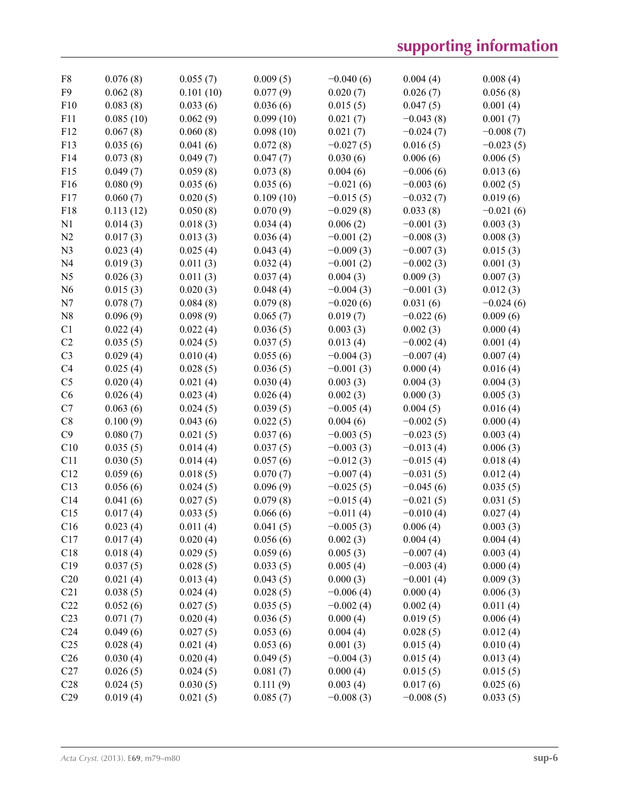| F8              | 0.076(8)  | 0.055(7)  | 0.009(5)  | $-0.040(6)$             | 0.004(4)    | 0.008(4)             |
|-----------------|-----------|-----------|-----------|-------------------------|-------------|----------------------|
| F <sub>9</sub>  | 0.062(8)  | 0.101(10) | 0.077(9)  | 0.020(7)                | 0.026(7)    | 0.056(8)             |
| F10             | 0.083(8)  | 0.033(6)  | 0.036(6)  | 0.015(5)                | 0.047(5)    | 0.001(4)             |
| F11             | 0.085(10) | 0.062(9)  | 0.099(10) | 0.021(7)                | $-0.043(8)$ | 0.001(7)             |
| F12             | 0.067(8)  | 0.060(8)  | 0.098(10) | 0.021(7)                | $-0.024(7)$ | $-0.008(7)$          |
| F13             | 0.035(6)  | 0.041(6)  | 0.072(8)  | $-0.027(5)$             | 0.016(5)    | $-0.023(5)$          |
| F14             | 0.073(8)  | 0.049(7)  | 0.047(7)  | 0.030(6)                | 0.006(6)    | 0.006(5)             |
| F15             | 0.049(7)  | 0.059(8)  | 0.073(8)  | 0.004(6)                | $-0.006(6)$ | 0.013(6)             |
| F16             | 0.080(9)  | 0.035(6)  | 0.035(6)  | $-0.021(6)$             | $-0.003(6)$ | 0.002(5)             |
| F17             | 0.060(7)  | 0.020(5)  | 0.109(10) | $-0.015(5)$             | $-0.032(7)$ | 0.019(6)             |
| F18             | 0.113(12) | 0.050(8)  | 0.070(9)  | $-0.029(8)$             | 0.033(8)    | $-0.021(6)$          |
| N1              | 0.014(3)  | 0.018(3)  | 0.034(4)  | 0.006(2)                | $-0.001(3)$ | 0.003(3)             |
| N2              | 0.017(3)  | 0.013(3)  | 0.036(4)  | $-0.001(2)$             | $-0.008(3)$ | 0.008(3)             |
| N <sub>3</sub>  | 0.023(4)  | 0.025(4)  | 0.043(4)  | $-0.009(3)$             | $-0.007(3)$ | 0.015(3)             |
| N <sub>4</sub>  | 0.019(3)  | 0.011(3)  | 0.032(4)  | $-0.001(2)$             | $-0.002(3)$ | 0.001(3)             |
| N <sub>5</sub>  | 0.026(3)  | 0.011(3)  | 0.037(4)  | 0.004(3)                | 0.009(3)    | 0.007(3)             |
| N <sub>6</sub>  | 0.015(3)  | 0.020(3)  | 0.048(4)  | $-0.004(3)$             | $-0.001(3)$ | 0.012(3)             |
| N7              | 0.078(7)  | 0.084(8)  | 0.079(8)  | $-0.020(6)$             | 0.031(6)    | $-0.024(6)$          |
| N <sub>8</sub>  | 0.096(9)  | 0.098(9)  | 0.065(7)  | 0.019(7)                | $-0.022(6)$ | 0.009(6)             |
| C1              | 0.022(4)  | 0.022(4)  | 0.036(5)  | 0.003(3)                | 0.002(3)    | 0.000(4)             |
| C2              | 0.035(5)  | 0.024(5)  | 0.037(5)  | 0.013(4)                | $-0.002(4)$ | 0.001(4)             |
| C <sub>3</sub>  | 0.029(4)  | 0.010(4)  | 0.055(6)  | $-0.004(3)$             | $-0.007(4)$ | 0.007(4)             |
| C4              | 0.025(4)  | 0.028(5)  | 0.036(5)  | $-0.001(3)$             | 0.000(4)    | 0.016(4)             |
| C <sub>5</sub>  | 0.020(4)  | 0.021(4)  | 0.030(4)  | 0.003(3)                | 0.004(3)    | 0.004(3)             |
| C6              | 0.026(4)  | 0.023(4)  | 0.026(4)  | 0.002(3)                | 0.000(3)    | 0.005(3)             |
| C7              | 0.063(6)  | 0.024(5)  | 0.039(5)  | $-0.005(4)$             | 0.004(5)    | 0.016(4)             |
| C8              | 0.100(9)  | 0.043(6)  | 0.022(5)  | 0.004(6)                | $-0.002(5)$ | 0.000(4)             |
| C9              | 0.080(7)  | 0.021(5)  | 0.037(6)  | $-0.003(5)$             | $-0.023(5)$ | 0.003(4)             |
| C10             | 0.035(5)  | 0.014(4)  | 0.037(5)  | $-0.003(3)$             | $-0.013(4)$ | 0.006(3)             |
| C11             | 0.030(5)  | 0.014(4)  | 0.057(6)  | $-0.012(3)$             | $-0.015(4)$ | 0.018(4)             |
| C12             | 0.059(6)  | 0.018(5)  | 0.070(7)  | $-0.007(4)$             | $-0.031(5)$ | 0.012(4)             |
| C13             | 0.056(6)  | 0.024(5)  | 0.096(9)  | $-0.025(5)$             | $-0.045(6)$ | 0.035(5)             |
| C14             | 0.041(6)  | 0.027(5)  | 0.079(8)  | $-0.015(4)$             | $-0.021(5)$ | 0.031(5)             |
| C15             | 0.017(4)  | 0.033(5)  | 0.066(6)  | $-0.011(4)$             | $-0.010(4)$ | 0.027(4)             |
| C16             | 0.023(4)  | 0.011(4)  | 0.041(5)  | $-0.005(3)$             | 0.006(4)    | 0.003(3)             |
| C17             | 0.017(4)  | 0.020(4)  | 0.056(6)  | 0.002(3)                | 0.004(4)    | 0.004(4)             |
| C18             | 0.018(4)  | 0.029(5)  | 0.059(6)  | 0.005(3)                | $-0.007(4)$ | 0.003(4)             |
| C19             | 0.037(5)  | 0.028(5)  | 0.033(5)  | 0.005(4)                | $-0.003(4)$ | 0.000(4)             |
| C20             | 0.021(4)  | 0.013(4)  | 0.043(5)  | 0.000(3)                | $-0.001(4)$ | 0.009(3)             |
| C21             | 0.038(5)  | 0.024(4)  | 0.028(5)  | $-0.006(4)$             | 0.000(4)    | 0.006(3)             |
| C22             | 0.052(6)  | 0.027(5)  | 0.035(5)  | $-0.002(4)$             | 0.002(4)    | 0.011(4)             |
| C <sub>23</sub> | 0.071(7)  | 0.020(4)  | 0.036(5)  | 0.000(4)                | 0.019(5)    | 0.006(4)             |
| C <sub>24</sub> | 0.049(6)  | 0.027(5)  | 0.053(6)  | 0.004(4)                | 0.028(5)    | 0.012(4)             |
| C <sub>25</sub> |           |           |           |                         |             |                      |
| C <sub>26</sub> | 0.028(4)  | 0.021(4)  | 0.053(6)  | 0.001(3)<br>$-0.004(3)$ | 0.015(4)    | 0.010(4)<br>0.013(4) |
| C27             | 0.030(4)  | 0.020(4)  | 0.049(5)  |                         | 0.015(4)    |                      |
|                 | 0.026(5)  | 0.024(5)  | 0.081(7)  | 0.000(4)                | 0.015(5)    | 0.015(5)             |
| C28             | 0.024(5)  | 0.030(5)  | 0.111(9)  | 0.003(4)                | 0.017(6)    | 0.025(6)             |
| C29             | 0.019(4)  | 0.021(5)  | 0.085(7)  | $-0.008(3)$             | $-0.008(5)$ | 0.033(5)             |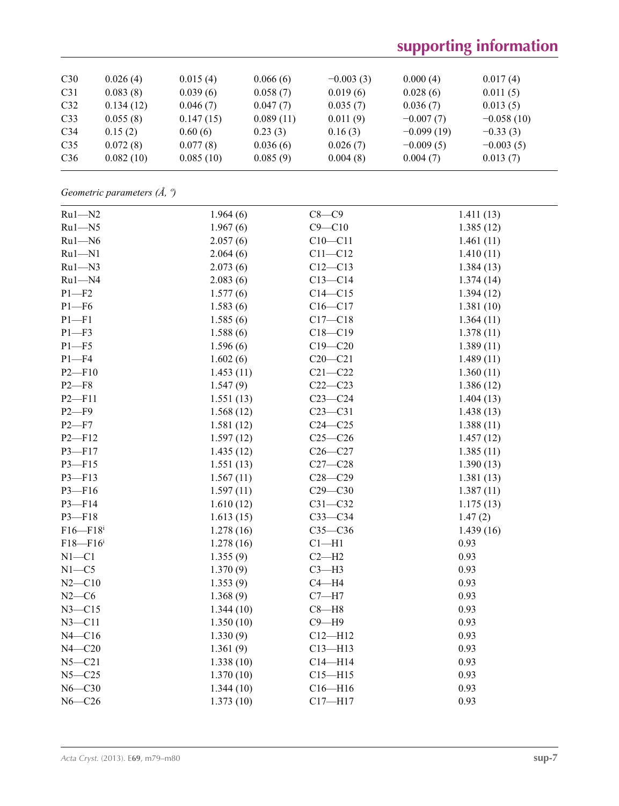| C30             | 0.026(4)  | 0.015(4)  | 0.066(6)  | $-0.003(3)$ | 0.000(4)     | 0.017(4)     |
|-----------------|-----------|-----------|-----------|-------------|--------------|--------------|
| C <sub>31</sub> | 0.083(8)  | 0.039(6)  | 0.058(7)  | 0.019(6)    | 0.028(6)     | 0.011(5)     |
| C32             | 0.134(12) | 0.046(7)  | 0.047(7)  | 0.035(7)    | 0.036(7)     | 0.013(5)     |
| C <sub>33</sub> | 0.055(8)  | 0.147(15) | 0.089(11) | 0.011(9)    | $-0.007(7)$  | $-0.058(10)$ |
| C <sub>34</sub> | 0.15(2)   | 0.60(6)   | 0.23(3)   | 0.16(3)     | $-0.099(19)$ | $-0.33(3)$   |
| C <sub>35</sub> | 0.072(8)  | 0.077(8)  | 0.036(6)  | 0.026(7)    | $-0.009(5)$  | $-0.003(5)$  |
| C <sub>36</sub> | 0.082(10) | 0.085(10) | 0.085(9)  | 0.004(8)    | 0.004(7)     | 0.013(7)     |

*Geometric parameters (Å, º)*

| $Ru1 - N2$               | 1.964(6)  | $C8-C9$     | 1.411(13) |
|--------------------------|-----------|-------------|-----------|
| $Ru1 - N5$               | 1.967(6)  | $C9 - C10$  | 1.385(12) |
| $Ru1 - N6$               | 2.057(6)  | $C10 - C11$ | 1.461(11) |
| $Ru1 - N1$               | 2.064(6)  | $C11 - C12$ | 1.410(11) |
| $Ru1 - N3$               | 2.073(6)  | $C12 - C13$ | 1.384(13) |
| $Ru1 - N4$               | 2.083(6)  | $C13 - C14$ | 1.374(14) |
| $P1 - F2$                | 1.577(6)  | $C14 - C15$ | 1.394(12) |
| $P1 - F6$                | 1.583(6)  | $C16 - C17$ | 1.381(10) |
| $P1 - F1$                | 1.585(6)  | $C17 - C18$ | 1.364(11) |
| $P1 - F3$                | 1.588(6)  | $C18 - C19$ | 1.378(11) |
| $P1 - F5$                | 1.596(6)  | $C19 - C20$ | 1.389(11) |
| $P1 - F4$                | 1.602(6)  | $C20 - C21$ | 1.489(11) |
| $P2 - F10$               | 1.453(11) | $C21 - C22$ | 1.360(11) |
| $P2-F8$                  | 1.547(9)  | $C22-C23$   | 1.386(12) |
| $P2 - F11$               | 1.551(13) | $C23-C24$   | 1.404(13) |
| $P2-F9$                  | 1.568(12) | $C23 - C31$ | 1.438(13) |
| $P2-F7$                  | 1.581(12) | $C24 - C25$ | 1.388(11) |
| $P2 - F12$               | 1.597(12) | $C25-C26$   | 1.457(12) |
| P3-F17                   | 1.435(12) | $C26-C27$   | 1.385(11) |
| $P3 - F15$               | 1.551(13) | $C27-C28$   | 1.390(13) |
| $P3 - F13$               | 1.567(11) | $C28 - C29$ | 1.381(13) |
| $P3 - F16$               | 1.597(11) | $C29 - C30$ | 1.387(11) |
| $P3 - F14$               | 1.610(12) | $C31 - C32$ | 1.175(13) |
| $P3 - F18$               | 1.613(15) | $C33-C34$   | 1.47(2)   |
| $F16 - F18$ <sup>i</sup> | 1.278(16) | $C35-C36$   | 1.439(16) |
| $F18 - F16$ <sup>i</sup> | 1.278(16) | $Cl-H1$     | 0.93      |
| $N1 - C1$                | 1.355(9)  | $C2-H2$     | 0.93      |
| $N1 - C5$                | 1.370(9)  | $C3-H3$     | 0.93      |
| $N2 - C10$               | 1.353(9)  | $C4 - H4$   | 0.93      |
| $N2-C6$                  | 1.368(9)  | $C7 - H7$   | 0.93      |
| $N3 - C15$               | 1.344(10) | $C8 - H8$   | 0.93      |
| $N3 - C11$               | 1.350(10) | $C9 - H9$   | 0.93      |
| $N4 - C16$               | 1.330(9)  | $C12 - H12$ | 0.93      |
| $N4 - C20$               | 1.361(9)  | $C13 - H13$ | 0.93      |
| $N5 - C21$               | 1.338(10) | $C14 - H14$ | 0.93      |
| $N5 - C25$               | 1.370(10) | $C15 - H15$ | 0.93      |
| $N6 - C30$               | 1.344(10) | $C16 - H16$ | 0.93      |
| $N6 - C26$               | 1.373(10) | $C17 - H17$ | 0.93      |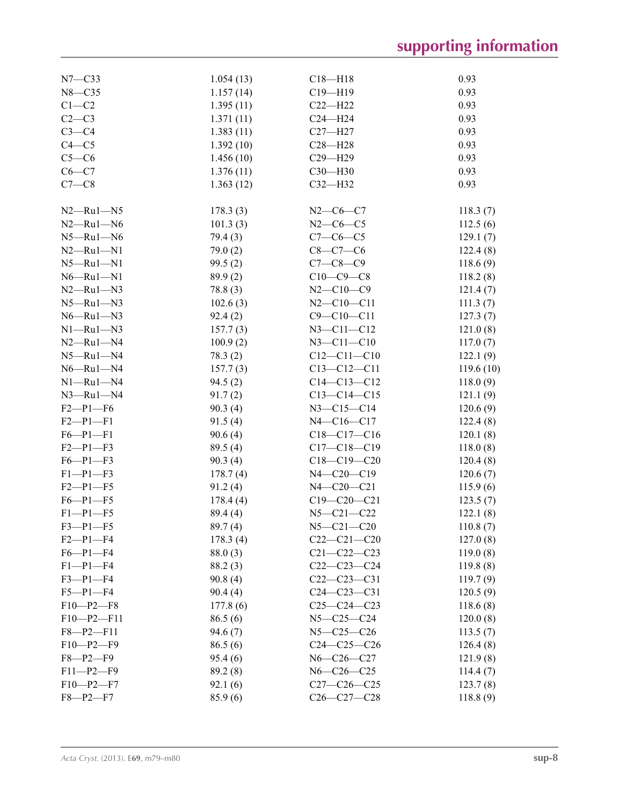| $N7 - C33$       | 1.054(13) | $C18 - H18$       | 0.93      |
|------------------|-----------|-------------------|-----------|
| $N8 - C35$       | 1.157(14) | $C19 - H19$       | 0.93      |
| $C1 - C2$        | 1.395(11) | $C22-H22$         | 0.93      |
| $C2-C3$          | 1.371(11) | $C24 - H24$       | 0.93      |
| $C3-C4$          | 1.383(11) | $C27 - H27$       | 0.93      |
| $C4 - C5$        | 1.392(10) | $C28 - H28$       | 0.93      |
| $C5-C6$          | 1.456(10) | $C29 - H29$       | 0.93      |
| $C6-C7$          | 1.376(11) | $C30 - H30$       | 0.93      |
| $C7-C8$          | 1.363(12) | $C32-H32$         | 0.93      |
|                  |           |                   |           |
| $N2$ —Ru $1$ —N5 | 178.3(3)  | $N2-C6-C7$        | 118.3(7)  |
| $N2 - Ru1 - N6$  | 101.3(3)  | $N2-C6-C5$        | 112.5(6)  |
| $N5 - Ru1 - N6$  | 79.4 (3)  | $C7-C6-C5$        | 129.1(7)  |
| $N2 - Ru1 - N1$  | 79.0(2)   | $C8-C7-C6$        | 122.4(8)  |
| $N5 - Ru1 - N1$  | 99.5(2)   | $C7 - C8 - C9$    | 118.6(9)  |
| $N6 - Ru1 - N1$  | 89.9(2)   | $C10-C9-C8$       | 118.2(8)  |
| $N2 - Ru1 - N3$  | 78.8(3)   | $N2 - C10 - C9$   | 121.4(7)  |
| $N5 - Ru1 - N3$  | 102.6(3)  | $N2 - C10 - C11$  | 111.3(7)  |
| $N6 - Ru1 - N3$  | 92.4(2)   | $C9 - C10 - C11$  | 127.3(7)  |
| $N1 - Ru1 - N3$  | 157.7(3)  | $N3 - C11 - C12$  | 121.0(8)  |
| $N2 - Ru1 - N4$  | 100.9(2)  | $N3 - C11 - C10$  | 117.0(7)  |
| $N5 - Ru1 - N4$  | 78.3(2)   | $C12 - C11 - C10$ | 122.1(9)  |
| $N6 - Ru1 - N4$  | 157.7(3)  | $C13 - C12 - C11$ | 119.6(10) |
| $N1 - Ru1 - N4$  |           | $C14 - C13 - C12$ |           |
|                  | 94.5(2)   |                   | 118.0(9)  |
| $N3 - Ru1 - N4$  | 91.7(2)   | $C13 - C14 - C15$ | 121.1(9)  |
| $F2-P1-F6$       | 90.3(4)   | $N3 - C15 - C14$  | 120.6(9)  |
| $F2-P1-F1$       | 91.5(4)   | $N4 - C16 - C17$  | 122.4(8)  |
| $F6 - P1 - F1$   | 90.6(4)   | $C18-C17-C16$     | 120.1(8)  |
| $F2 - P1 - F3$   | 89.5 (4)  | $C17 - C18 - C19$ | 118.0(8)  |
| $F6 - P1 - F3$   | 90.3(4)   | $C18-C19-C20$     | 120.4(8)  |
| $F1 - P1 - F3$   | 178.7(4)  | $N4 - C20 - C19$  | 120.6(7)  |
| $F2 - P1 - F5$   | 91.2(4)   | N4-C20-C21        | 115.9(6)  |
| $F6 - P1 - F5$   | 178.4(4)  | $C19 - C20 - C21$ | 123.5(7)  |
| $F1-P1-F5$       | 89.4 (4)  | $N5 - C21 - C22$  | 122.1(8)  |
| $F3 - P1 - F5$   | 89.7(4)   | $N5 - C21 - C20$  | 110.8(7)  |
| $F2-P1-F4$       | 178.3(4)  | $C22-C21-C20$     | 127.0(8)  |
| $F6 - P1 - F4$   | 88.0(3)   | $C21 - C22 - C23$ | 119.0(8)  |
| $F1-P1-F4$       | 88.2(3)   | $C22-C23-C24$     | 119.8(8)  |
| $F3-P1-F4$       | 90.8(4)   | $C22-C23-C31$     | 119.7(9)  |
| $F5 - P1 - F4$   | 90.4(4)   | $C24 - C23 - C31$ | 120.5(9)  |
| $F10-P2-F8$      | 177.8(6)  | $C25-C24-C23$     | 118.6(8)  |
| $F10-P2-F11$     | 86.5(6)   | $N5 - C25 - C24$  | 120.0(8)  |
| $F8 - P2 - F11$  | 94.6(7)   | $N5 - C25 - C26$  | 113.5(7)  |
| $F10-P2-F9$      | 86.5(6)   | $C24 - C25 - C26$ | 126.4(8)  |
| $F8 - P2 - F9$   | 95.4(6)   | $N6 - C26 - C27$  | 121.9(8)  |
| $F11-P2-F9$      | 89.2(8)   | $N6 - C26 - C25$  | 114.4(7)  |
| $F10-P2-F7$      | 92.1(6)   | $C27-C26-C25$     | 123.7(8)  |
| $F8 - P2 - F7$   | 85.9(6)   | $C26 - C27 - C28$ | 118.8(9)  |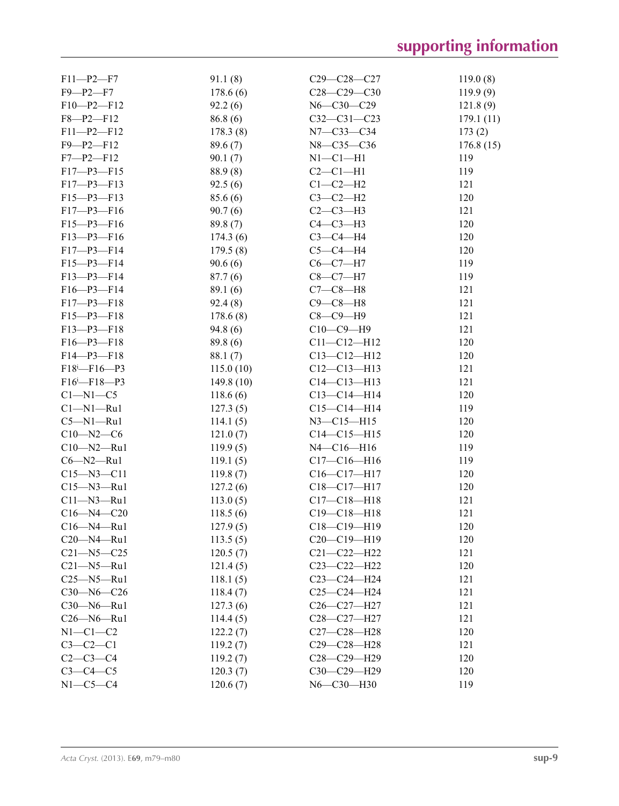| $F11-P2-F7$                       | 91.1(8)   | $C29 - C28 - C27$ | 119.0(8)  |
|-----------------------------------|-----------|-------------------|-----------|
| $F9 - P2 - F7$                    | 178.6(6)  | $C28-C29-C30$     | 119.9(9)  |
| $F10-P2-F12$                      | 92.2(6)   | $N6 - C30 - C29$  | 121.8(9)  |
| $F8 - P2 - F12$                   | 86.8(6)   | $C32 - C31 - C23$ | 179.1(11) |
| $F11-P2-F12$                      | 178.3(8)  | $N7 - C33 - C34$  | 173(2)    |
| $F9 - P2 - F12$                   | 89.6(7)   | N8-C35-C36        | 176.8(15) |
| $F7 - P2 - F12$                   | 90.1(7)   | $N1-C1-H1$        | 119       |
| $F17 - P3 - F15$                  | 88.9(8)   | $C2-C1-H1$        | 119       |
| $F17 - P3 - F13$                  | 92.5(6)   | $C1-C2-H2$        | 121       |
| $F15 - P3 - F13$                  | 85.6(6)   | $C3-C2-H2$        | 120       |
| $F17-P3-F16$                      | 90.7(6)   | $C2-C3-H3$        | 121       |
| $F15-P3-F16$                      | 89.8(7)   | $C4-C3-H3$        | 120       |
| $F13 - P3 - F16$                  | 174.3(6)  | $C3-C4-H4$        | 120       |
| $F17 - P3 - F14$                  | 179.5(8)  | $C5-C4-H4$        | 120       |
| $F15-P3-F14$                      | 90.6(6)   | $C6 - C7 - H7$    | 119       |
| $F13-P3-F14$                      | 87.7(6)   | $C8 - C7 - H7$    | 119       |
| $F16 - P3 - F14$                  | 89.1(6)   | $C7-C8-H8$        | 121       |
| $F17 - P3 - F18$                  | 92.4(8)   | $C9 - C8 - H8$    | 121       |
| $F15 - P3 - F18$                  | 178.6(8)  | $C8-C9-H9$        | 121       |
| $F13-P3-F18$                      | 94.8(6)   | $C10-C9-H9$       | 121       |
| $F16 - P3 - F18$                  | 89.8 (6)  | $C11 - C12 - H12$ | 120       |
| $F14 - P3 - F18$                  | 88.1(7)   | $C13 - C12 - H12$ | 120       |
| $F18^i$ - $F16$ - $P3$            | 115.0(10) | $C12-C13-H13$     | 121       |
| $F16$ <sup>i</sup> - $F18$ - $P3$ | 149.8(10) | $C14 - C13 - H13$ | 121       |
| $C1 - N1 - C5$                    | 118.6(6)  | $C13-C14-H14$     | 120       |
| $Cl-M1-Ru1$                       | 127.3(5)  | $C15-C14-H14$     | 119       |
| $C5 - N1 - Ru1$                   | 114.1(5)  | $N3 - C15 - H15$  | 120       |
| $C10 - N2 - C6$                   | 121.0(7)  | $C14 - C15 - H15$ | 120       |
| $C10 - N2 - Ru1$                  | 119.9(5)  | N4-C16-H16        | 119       |
| $C6 - N2 - Ru1$                   | 119.1(5)  | $C17-C16-H16$     | 119       |
| $C15 - N3 - C11$                  | 119.8(7)  | $C16-C17-H17$     | 120       |
| $C15 - N3 - Ru1$                  | 127.2(6)  | $C18 - C17 - H17$ | 120       |
| $C11 - N3 - Ru1$                  | 113.0(5)  | $C17 - C18 - H18$ | 121       |
| $C16 - N4 - C20$                  | 118.5(6)  | $C19 - C18 - H18$ | 121       |
| $C16 - N4 - Ru1$                  | 127.9(5)  | C18-C19-H19       | 120       |
| $C20 - N4 - Ru1$                  | 113.5(5)  | $C20-C19-H19$     | 120       |
| $C21 - N5 - C25$                  | 120.5(7)  | $C21 - C22 - H22$ | 121       |
| $C21 - N5 - Ru1$                  | 121.4(5)  | $C23-C22-H22$     | 120       |
| $C25 - N5 - Ru1$                  | 118.1(5)  | $C23-C24-H24$     | 121       |
| $C30 - N6 - C26$                  | 118.4(7)  | $C25-C24-H24$     | 121       |
| $C30 - N6 - Ru1$                  | 127.3(6)  | $C26-C27-H27$     | 121       |
| $C26 - N6 - Ru1$                  | 114.4(5)  | C28-C27-H27       | 121       |
| $N1-C1-C2$                        | 122.2(7)  | $C27 - C28 - H28$ | 120       |
| $C3-C2-C1$                        | 119.2(7)  | $C29 - C28 - H28$ | 121       |
| $C2 - C3 - C4$                    | 119.2(7)  | $C28-C29-H29$     | 120       |
| $C3-C4-C5$                        | 120.3(7)  | $C30-C29-H29$     | 120       |
| $N1-C5-C4$                        | 120.6(7)  | N6-C30-H30        | 119       |
|                                   |           |                   |           |